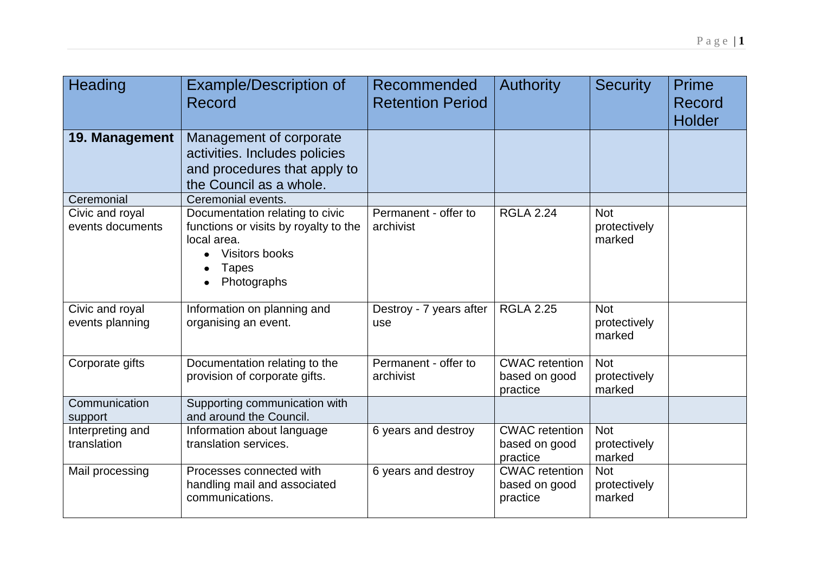| Heading                             | <b>Example/Description of</b><br><b>Record</b>                                                                                           | Recommended<br><b>Retention Period</b> | <b>Authority</b>                                   | <b>Security</b>                      | Prime<br>Record<br><b>Holder</b> |
|-------------------------------------|------------------------------------------------------------------------------------------------------------------------------------------|----------------------------------------|----------------------------------------------------|--------------------------------------|----------------------------------|
| 19. Management                      | Management of corporate<br>activities. Includes policies<br>and procedures that apply to<br>the Council as a whole.                      |                                        |                                                    |                                      |                                  |
| Ceremonial                          | Ceremonial events.                                                                                                                       |                                        |                                                    |                                      |                                  |
| Civic and royal<br>events documents | Documentation relating to civic<br>functions or visits by royalty to the<br>local area.<br>Visitors books<br><b>Tapes</b><br>Photographs | Permanent - offer to<br>archivist      | <b>RGLA 2.24</b>                                   | <b>Not</b><br>protectively<br>marked |                                  |
| Civic and royal                     | Information on planning and                                                                                                              | Destroy - 7 years after                | <b>RGLA 2.25</b>                                   | <b>Not</b>                           |                                  |
| events planning                     | organising an event.                                                                                                                     | use                                    |                                                    | protectively<br>marked               |                                  |
| Corporate gifts                     | Documentation relating to the                                                                                                            | Permanent - offer to                   | <b>CWAC</b> retention                              | <b>Not</b>                           |                                  |
|                                     | provision of corporate gifts.                                                                                                            | archivist                              | based on good                                      | protectively                         |                                  |
|                                     |                                                                                                                                          |                                        | practice                                           | marked                               |                                  |
| Communication<br>support            | Supporting communication with<br>and around the Council.                                                                                 |                                        |                                                    |                                      |                                  |
| Interpreting and<br>translation     | Information about language<br>translation services.                                                                                      | 6 years and destroy                    | <b>CWAC</b> retention<br>based on good<br>practice | <b>Not</b><br>protectively<br>marked |                                  |
| Mail processing                     | Processes connected with<br>handling mail and associated<br>communications.                                                              | 6 years and destroy                    | <b>CWAC</b> retention<br>based on good<br>practice | <b>Not</b><br>protectively<br>marked |                                  |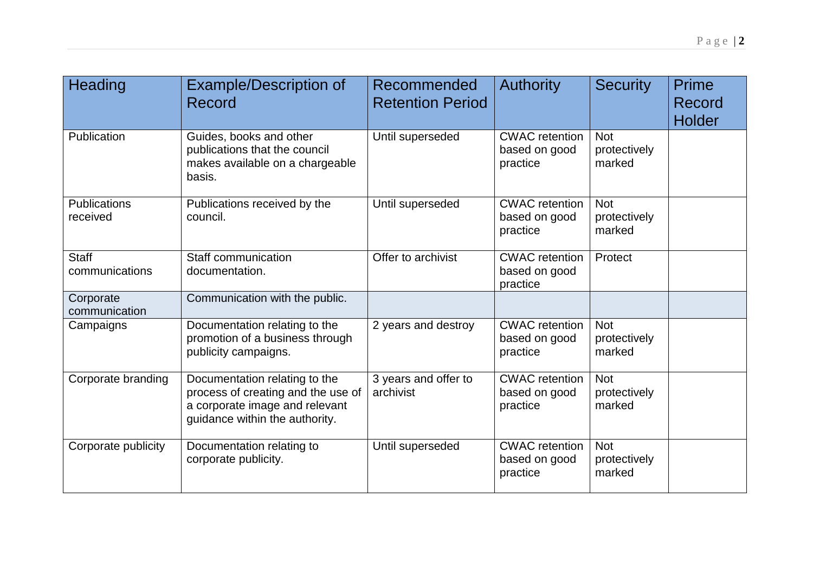| Heading                         | <b>Example/Description of</b><br>Record                                                                                                 | Recommended<br><b>Retention Period</b> | <b>Authority</b>                                   | <b>Security</b>                      | Prime<br>Record<br><b>Holder</b> |
|---------------------------------|-----------------------------------------------------------------------------------------------------------------------------------------|----------------------------------------|----------------------------------------------------|--------------------------------------|----------------------------------|
| Publication                     | Guides, books and other<br>publications that the council<br>makes available on a chargeable<br>basis.                                   | Until superseded                       | <b>CWAC</b> retention<br>based on good<br>practice | <b>Not</b><br>protectively<br>marked |                                  |
| <b>Publications</b><br>received | Publications received by the<br>council.                                                                                                | Until superseded                       | <b>CWAC</b> retention<br>based on good<br>practice | <b>Not</b><br>protectively<br>marked |                                  |
| <b>Staff</b><br>communications  | Staff communication<br>documentation.                                                                                                   | Offer to archivist                     | <b>CWAC</b> retention<br>based on good<br>practice | Protect                              |                                  |
| Corporate<br>communication      | Communication with the public.                                                                                                          |                                        |                                                    |                                      |                                  |
| Campaigns                       | Documentation relating to the<br>promotion of a business through<br>publicity campaigns.                                                | 2 years and destroy                    | <b>CWAC</b> retention<br>based on good<br>practice | <b>Not</b><br>protectively<br>marked |                                  |
| Corporate branding              | Documentation relating to the<br>process of creating and the use of<br>a corporate image and relevant<br>guidance within the authority. | 3 years and offer to<br>archivist      | <b>CWAC</b> retention<br>based on good<br>practice | <b>Not</b><br>protectively<br>marked |                                  |
| Corporate publicity             | Documentation relating to<br>corporate publicity.                                                                                       | Until superseded                       | <b>CWAC</b> retention<br>based on good<br>practice | <b>Not</b><br>protectively<br>marked |                                  |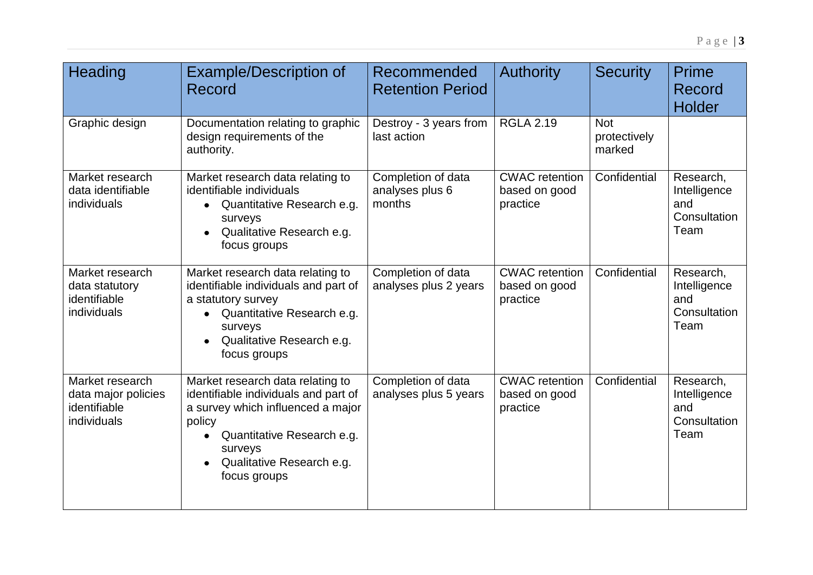| Heading                                                               | <b>Example/Description of</b><br>Record                                                                                                                                                                       | Recommended<br><b>Retention Period</b>          | <b>Authority</b>                                   | <b>Security</b>                      | Prime<br>Record<br><b>Holder</b>                         |
|-----------------------------------------------------------------------|---------------------------------------------------------------------------------------------------------------------------------------------------------------------------------------------------------------|-------------------------------------------------|----------------------------------------------------|--------------------------------------|----------------------------------------------------------|
| Graphic design                                                        | Documentation relating to graphic<br>design requirements of the<br>authority.                                                                                                                                 | Destroy - 3 years from<br>last action           | <b>RGLA 2.19</b>                                   | <b>Not</b><br>protectively<br>marked |                                                          |
| Market research<br>data identifiable<br>individuals                   | Market research data relating to<br>identifiable individuals<br>Quantitative Research e.g.<br>surveys<br>Qualitative Research e.g.<br>focus groups                                                            | Completion of data<br>analyses plus 6<br>months | <b>CWAC</b> retention<br>based on good<br>practice | Confidential                         | Research,<br>Intelligence<br>and<br>Consultation<br>Team |
| Market research<br>data statutory<br>identifiable<br>individuals      | Market research data relating to<br>identifiable individuals and part of<br>a statutory survey<br>Quantitative Research e.g.<br>surveys<br>Qualitative Research e.g.<br>focus groups                          | Completion of data<br>analyses plus 2 years     | <b>CWAC</b> retention<br>based on good<br>practice | Confidential                         | Research,<br>Intelligence<br>and<br>Consultation<br>Team |
| Market research<br>data major policies<br>identifiable<br>individuals | Market research data relating to<br>identifiable individuals and part of<br>a survey which influenced a major<br>policy<br>Quantitative Research e.g.<br>surveys<br>Qualitative Research e.g.<br>focus groups | Completion of data<br>analyses plus 5 years     | <b>CWAC</b> retention<br>based on good<br>practice | Confidential                         | Research,<br>Intelligence<br>and<br>Consultation<br>Team |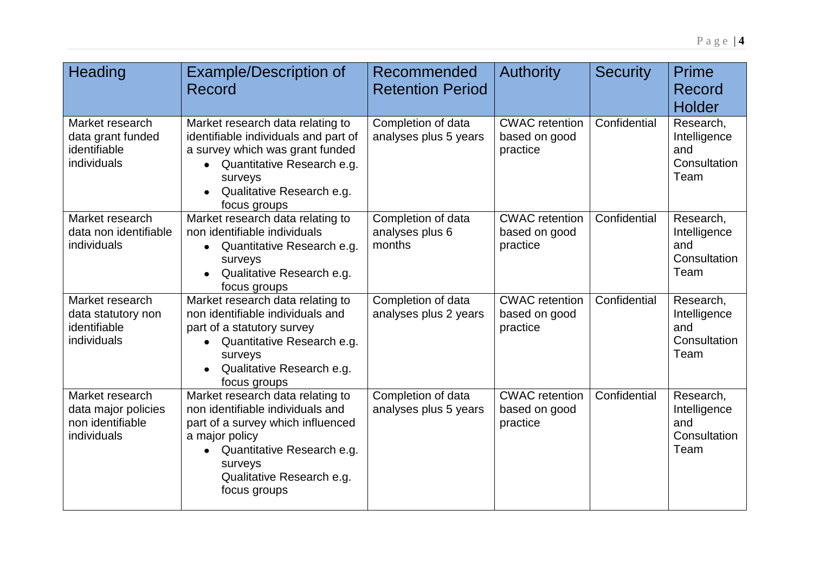| Heading                                                                   | <b>Example/Description of</b><br>Record                                                                                                                                                                           | Recommended<br><b>Retention Period</b>          | <b>Authority</b>                                   | <b>Security</b> | <b>Prime</b><br>Record<br><b>Holder</b>                  |
|---------------------------------------------------------------------------|-------------------------------------------------------------------------------------------------------------------------------------------------------------------------------------------------------------------|-------------------------------------------------|----------------------------------------------------|-----------------|----------------------------------------------------------|
| Market research<br>data grant funded<br>identifiable<br>individuals       | Market research data relating to<br>identifiable individuals and part of<br>a survey which was grant funded<br>Quantitative Research e.g.<br>$\bullet$<br>surveys<br>Qualitative Research e.g.<br>focus groups    | Completion of data<br>analyses plus 5 years     | <b>CWAC</b> retention<br>based on good<br>practice | Confidential    | Research,<br>Intelligence<br>and<br>Consultation<br>Team |
| Market research<br>data non identifiable<br>individuals                   | Market research data relating to<br>non identifiable individuals<br>Quantitative Research e.g.<br>surveys<br>Qualitative Research e.g.<br>$\bullet$<br>focus groups                                               | Completion of data<br>analyses plus 6<br>months | <b>CWAC</b> retention<br>based on good<br>practice | Confidential    | Research,<br>Intelligence<br>and<br>Consultation<br>Team |
| Market research<br>data statutory non<br>identifiable<br>individuals      | Market research data relating to<br>non identifiable individuals and<br>part of a statutory survey<br>Quantitative Research e.g.<br>surveys<br>Qualitative Research e.g.<br>$\bullet$<br>focus groups             | Completion of data<br>analyses plus 2 years     | <b>CWAC</b> retention<br>based on good<br>practice | Confidential    | Research,<br>Intelligence<br>and<br>Consultation<br>Team |
| Market research<br>data major policies<br>non identifiable<br>individuals | Market research data relating to<br>non identifiable individuals and<br>part of a survey which influenced<br>a major policy<br>Quantitative Research e.g.<br>surveys<br>Qualitative Research e.g.<br>focus groups | Completion of data<br>analyses plus 5 years     | <b>CWAC</b> retention<br>based on good<br>practice | Confidential    | Research,<br>Intelligence<br>and<br>Consultation<br>Team |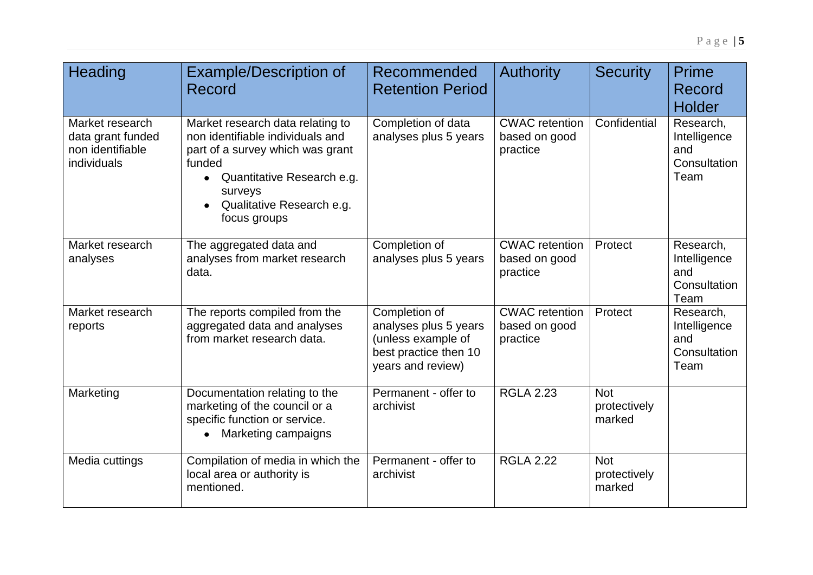| Heading                                                                 | <b>Example/Description of</b><br>Record                                                                                                                                                                               | Recommended<br><b>Retention Period</b>                                                                     | <b>Authority</b>                                   | <b>Security</b>                      | <b>Prime</b><br>Record<br><b>Holder</b>                  |
|-------------------------------------------------------------------------|-----------------------------------------------------------------------------------------------------------------------------------------------------------------------------------------------------------------------|------------------------------------------------------------------------------------------------------------|----------------------------------------------------|--------------------------------------|----------------------------------------------------------|
| Market research<br>data grant funded<br>non identifiable<br>individuals | Market research data relating to<br>non identifiable individuals and<br>part of a survey which was grant<br>funded<br>Quantitative Research e.g.<br>$\bullet$<br>surveys<br>Qualitative Research e.g.<br>focus groups | Completion of data<br>analyses plus 5 years                                                                | <b>CWAC</b> retention<br>based on good<br>practice | Confidential                         | Research,<br>Intelligence<br>and<br>Consultation<br>Team |
| Market research<br>analyses                                             | The aggregated data and<br>analyses from market research<br>data.                                                                                                                                                     | Completion of<br>analyses plus 5 years                                                                     | <b>CWAC</b> retention<br>based on good<br>practice | Protect                              | Research,<br>Intelligence<br>and<br>Consultation<br>Team |
| Market research<br>reports                                              | The reports compiled from the<br>aggregated data and analyses<br>from market research data.                                                                                                                           | Completion of<br>analyses plus 5 years<br>(unless example of<br>best practice then 10<br>years and review) | <b>CWAC</b> retention<br>based on good<br>practice | Protect                              | Research,<br>Intelligence<br>and<br>Consultation<br>Team |
| Marketing                                                               | Documentation relating to the<br>marketing of the council or a<br>specific function or service.<br>Marketing campaigns                                                                                                | Permanent - offer to<br>archivist                                                                          | <b>RGLA 2.23</b>                                   | <b>Not</b><br>protectively<br>marked |                                                          |
| Media cuttings                                                          | Compilation of media in which the<br>local area or authority is<br>mentioned.                                                                                                                                         | Permanent - offer to<br>archivist                                                                          | <b>RGLA 2.22</b>                                   | <b>Not</b><br>protectively<br>marked |                                                          |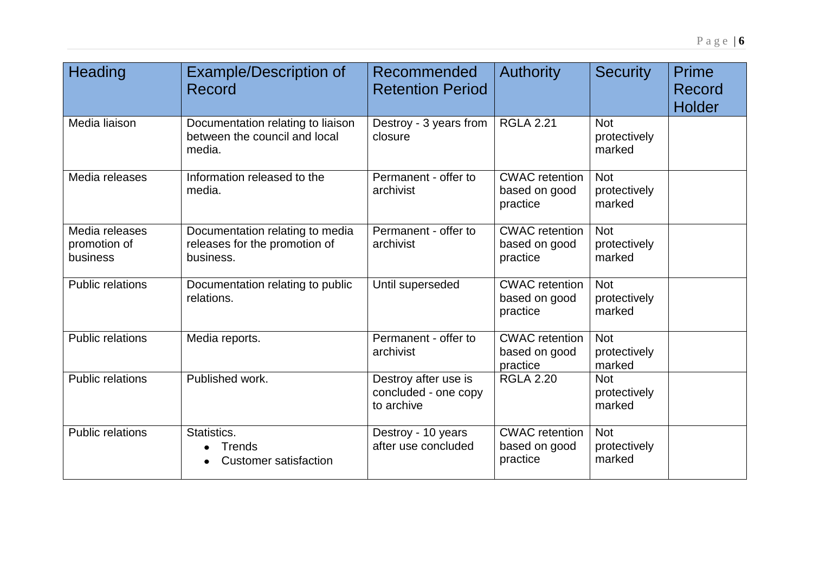| Heading                                    | <b>Example/Description of</b><br>Record                                       | Recommended<br><b>Retention Period</b>                     | <b>Authority</b>                                   | <b>Security</b>                      | Prime<br>Record<br><b>Holder</b> |
|--------------------------------------------|-------------------------------------------------------------------------------|------------------------------------------------------------|----------------------------------------------------|--------------------------------------|----------------------------------|
| Media liaison                              | Documentation relating to liaison<br>between the council and local<br>media.  | Destroy - 3 years from<br>closure                          | <b>RGLA 2.21</b>                                   | <b>Not</b><br>protectively<br>marked |                                  |
| Media releases                             | Information released to the<br>media.                                         | Permanent - offer to<br>archivist                          | <b>CWAC</b> retention<br>based on good<br>practice | <b>Not</b><br>protectively<br>marked |                                  |
| Media releases<br>promotion of<br>business | Documentation relating to media<br>releases for the promotion of<br>business. | Permanent - offer to<br>archivist                          | <b>CWAC</b> retention<br>based on good<br>practice | <b>Not</b><br>protectively<br>marked |                                  |
| <b>Public relations</b>                    | Documentation relating to public<br>relations.                                | Until superseded                                           | <b>CWAC</b> retention<br>based on good<br>practice | <b>Not</b><br>protectively<br>marked |                                  |
| <b>Public relations</b>                    | Media reports.                                                                | Permanent - offer to<br>archivist                          | <b>CWAC</b> retention<br>based on good<br>practice | <b>Not</b><br>protectively<br>marked |                                  |
| <b>Public relations</b>                    | Published work.                                                               | Destroy after use is<br>concluded - one copy<br>to archive | <b>RGLA 2.20</b>                                   | <b>Not</b><br>protectively<br>marked |                                  |
| <b>Public relations</b>                    | Statistics.<br><b>Trends</b><br><b>Customer satisfaction</b>                  | Destroy - 10 years<br>after use concluded                  | <b>CWAC</b> retention<br>based on good<br>practice | <b>Not</b><br>protectively<br>marked |                                  |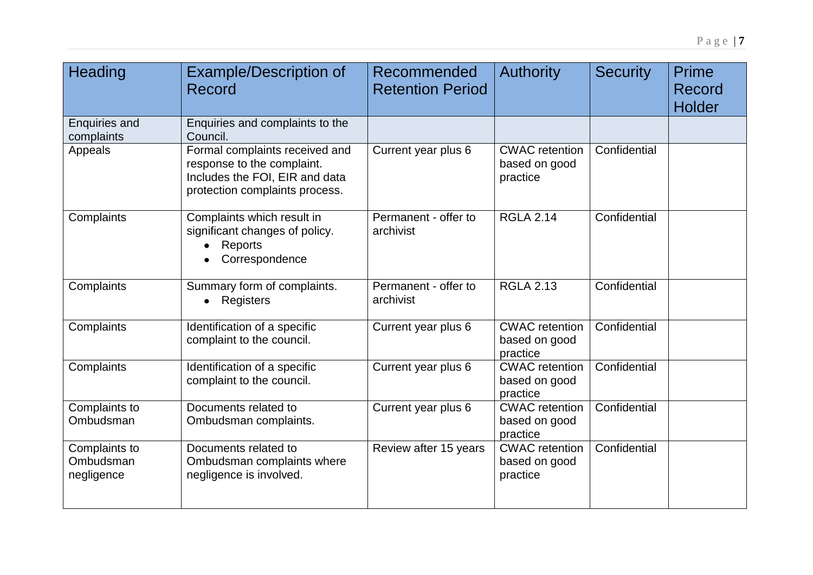| <b>Heading</b>                           | <b>Example/Description of</b><br><b>Record</b>                                                                                   | Recommended<br><b>Retention Period</b> | <b>Authority</b>                                   | <b>Security</b> | Prime<br>Record<br>Holder |
|------------------------------------------|----------------------------------------------------------------------------------------------------------------------------------|----------------------------------------|----------------------------------------------------|-----------------|---------------------------|
| <b>Enquiries and</b><br>complaints       | Enquiries and complaints to the<br>Council.                                                                                      |                                        |                                                    |                 |                           |
| Appeals                                  | Formal complaints received and<br>response to the complaint.<br>Includes the FOI, EIR and data<br>protection complaints process. | Current year plus 6                    | <b>CWAC</b> retention<br>based on good<br>practice | Confidential    |                           |
| Complaints                               | Complaints which result in<br>significant changes of policy.<br>Reports<br>Correspondence                                        | Permanent - offer to<br>archivist      | <b>RGLA 2.14</b>                                   | Confidential    |                           |
| Complaints                               | Summary form of complaints.<br>Registers                                                                                         | Permanent - offer to<br>archivist      | <b>RGLA 2.13</b>                                   | Confidential    |                           |
| Complaints                               | Identification of a specific<br>complaint to the council.                                                                        | Current year plus 6                    | <b>CWAC</b> retention<br>based on good<br>practice | Confidential    |                           |
| Complaints                               | Identification of a specific<br>complaint to the council.                                                                        | Current year plus 6                    | <b>CWAC</b> retention<br>based on good<br>practice | Confidential    |                           |
| Complaints to<br>Ombudsman               | Documents related to<br>Ombudsman complaints.                                                                                    | Current year plus 6                    | <b>CWAC</b> retention<br>based on good<br>practice | Confidential    |                           |
| Complaints to<br>Ombudsman<br>negligence | Documents related to<br>Ombudsman complaints where<br>negligence is involved.                                                    | Review after 15 years                  | <b>CWAC</b> retention<br>based on good<br>practice | Confidential    |                           |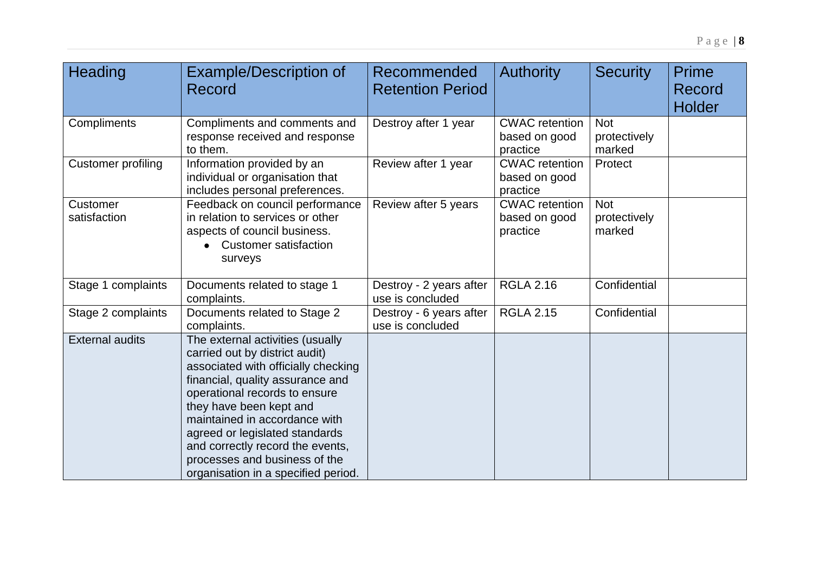| Heading                   | <b>Example/Description of</b><br>Record                                                                                                                                                                                                                                                                                                                                                  | Recommended<br><b>Retention Period</b>      | <b>Authority</b>                                   | <b>Security</b>                      | Prime<br>Record<br><b>Holder</b> |
|---------------------------|------------------------------------------------------------------------------------------------------------------------------------------------------------------------------------------------------------------------------------------------------------------------------------------------------------------------------------------------------------------------------------------|---------------------------------------------|----------------------------------------------------|--------------------------------------|----------------------------------|
| Compliments               | Compliments and comments and<br>response received and response<br>to them.                                                                                                                                                                                                                                                                                                               | Destroy after 1 year                        | <b>CWAC</b> retention<br>based on good<br>practice | <b>Not</b><br>protectively<br>marked |                                  |
| <b>Customer profiling</b> | Information provided by an<br>individual or organisation that<br>includes personal preferences.                                                                                                                                                                                                                                                                                          | Review after 1 year                         | <b>CWAC</b> retention<br>based on good<br>practice | Protect                              |                                  |
| Customer<br>satisfaction  | Feedback on council performance<br>in relation to services or other<br>aspects of council business.<br><b>Customer satisfaction</b><br>surveys                                                                                                                                                                                                                                           | Review after 5 years                        | <b>CWAC</b> retention<br>based on good<br>practice | <b>Not</b><br>protectively<br>marked |                                  |
| Stage 1 complaints        | Documents related to stage 1<br>complaints.                                                                                                                                                                                                                                                                                                                                              | Destroy - 2 years after<br>use is concluded | <b>RGLA 2.16</b>                                   | Confidential                         |                                  |
| Stage 2 complaints        | Documents related to Stage 2<br>complaints.                                                                                                                                                                                                                                                                                                                                              | Destroy - 6 years after<br>use is concluded | <b>RGLA 2.15</b>                                   | Confidential                         |                                  |
| <b>External audits</b>    | The external activities (usually<br>carried out by district audit)<br>associated with officially checking<br>financial, quality assurance and<br>operational records to ensure<br>they have been kept and<br>maintained in accordance with<br>agreed or legislated standards<br>and correctly record the events,<br>processes and business of the<br>organisation in a specified period. |                                             |                                                    |                                      |                                  |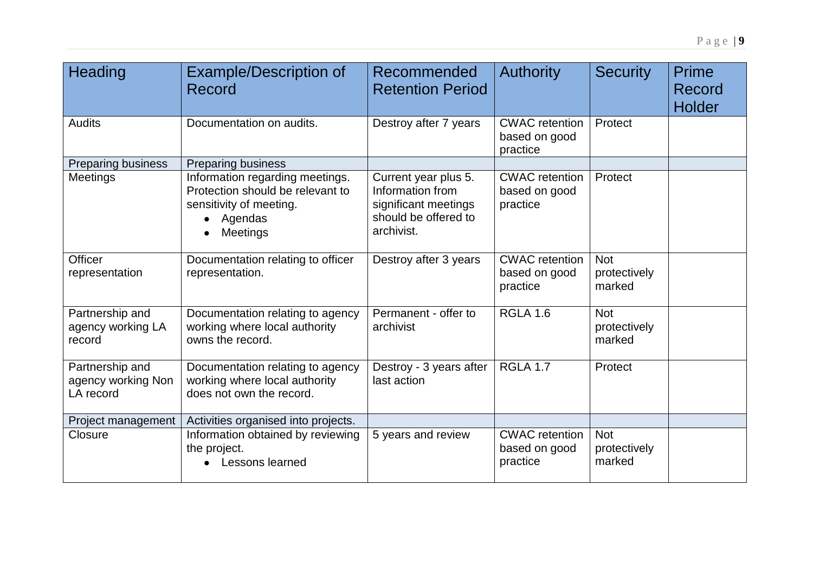| Heading                                            | <b>Example/Description of</b><br>Record                                                                                      | Recommended<br><b>Retention Period</b>                                                                 | <b>Authority</b>                                   | <b>Security</b>                      | Prime<br>Record<br><b>Holder</b> |
|----------------------------------------------------|------------------------------------------------------------------------------------------------------------------------------|--------------------------------------------------------------------------------------------------------|----------------------------------------------------|--------------------------------------|----------------------------------|
| <b>Audits</b>                                      | Documentation on audits.                                                                                                     | Destroy after 7 years                                                                                  | <b>CWAC</b> retention<br>based on good<br>practice | Protect                              |                                  |
| Preparing business                                 | Preparing business                                                                                                           |                                                                                                        |                                                    |                                      |                                  |
| Meetings                                           | Information regarding meetings.<br>Protection should be relevant to<br>sensitivity of meeting.<br>Agendas<br><b>Meetings</b> | Current year plus 5.<br>Information from<br>significant meetings<br>should be offered to<br>archivist. | <b>CWAC</b> retention<br>based on good<br>practice | Protect                              |                                  |
| <b>Officer</b><br>representation                   | Documentation relating to officer<br>representation.                                                                         | Destroy after 3 years                                                                                  | <b>CWAC</b> retention<br>based on good             | <b>Not</b><br>protectively           |                                  |
|                                                    |                                                                                                                              |                                                                                                        | practice                                           | marked                               |                                  |
| Partnership and<br>agency working LA<br>record     | Documentation relating to agency<br>working where local authority<br>owns the record.                                        | Permanent - offer to<br>archivist                                                                      | <b>RGLA 1.6</b>                                    | <b>Not</b><br>protectively<br>marked |                                  |
| Partnership and<br>agency working Non<br>LA record | Documentation relating to agency<br>working where local authority<br>does not own the record.                                | Destroy - 3 years after<br>last action                                                                 | <b>RGLA 1.7</b>                                    | Protect                              |                                  |
| Project management                                 | Activities organised into projects.                                                                                          |                                                                                                        |                                                    |                                      |                                  |
| Closure                                            | Information obtained by reviewing<br>the project.<br>Lessons learned                                                         | 5 years and review                                                                                     | <b>CWAC</b> retention<br>based on good<br>practice | <b>Not</b><br>protectively<br>marked |                                  |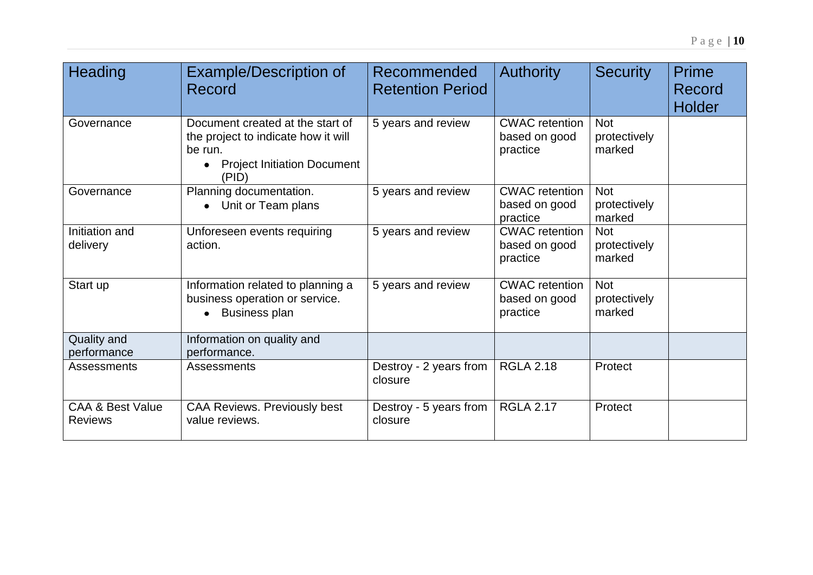| Heading                                       | <b>Example/Description of</b><br>Record                                                                                           | Recommended<br><b>Retention Period</b> | <b>Authority</b>                                   | <b>Security</b>                      | Prime<br><b>Record</b><br><b>Holder</b> |
|-----------------------------------------------|-----------------------------------------------------------------------------------------------------------------------------------|----------------------------------------|----------------------------------------------------|--------------------------------------|-----------------------------------------|
| Governance                                    | Document created at the start of<br>the project to indicate how it will<br>be run.<br><b>Project Initiation Document</b><br>(PID) | 5 years and review                     | <b>CWAC</b> retention<br>based on good<br>practice | <b>Not</b><br>protectively<br>marked |                                         |
| Governance                                    | Planning documentation.<br>• Unit or Team plans                                                                                   | 5 years and review                     | <b>CWAC</b> retention<br>based on good<br>practice | <b>Not</b><br>protectively<br>marked |                                         |
| Initiation and<br>delivery                    | Unforeseen events requiring<br>action.                                                                                            | 5 years and review                     | <b>CWAC</b> retention<br>based on good<br>practice | <b>Not</b><br>protectively<br>marked |                                         |
| Start up                                      | Information related to planning a<br>business operation or service.<br><b>Business plan</b>                                       | 5 years and review                     | <b>CWAC</b> retention<br>based on good<br>practice | <b>Not</b><br>protectively<br>marked |                                         |
| <b>Quality and</b><br>performance             | Information on quality and<br>performance.                                                                                        |                                        |                                                    |                                      |                                         |
| Assessments                                   | Assessments                                                                                                                       | Destroy - 2 years from<br>closure      | <b>RGLA 2.18</b>                                   | Protect                              |                                         |
| <b>CAA &amp; Best Value</b><br><b>Reviews</b> | <b>CAA Reviews. Previously best</b><br>value reviews.                                                                             | Destroy - 5 years from<br>closure      | <b>RGLA 2.17</b>                                   | Protect                              |                                         |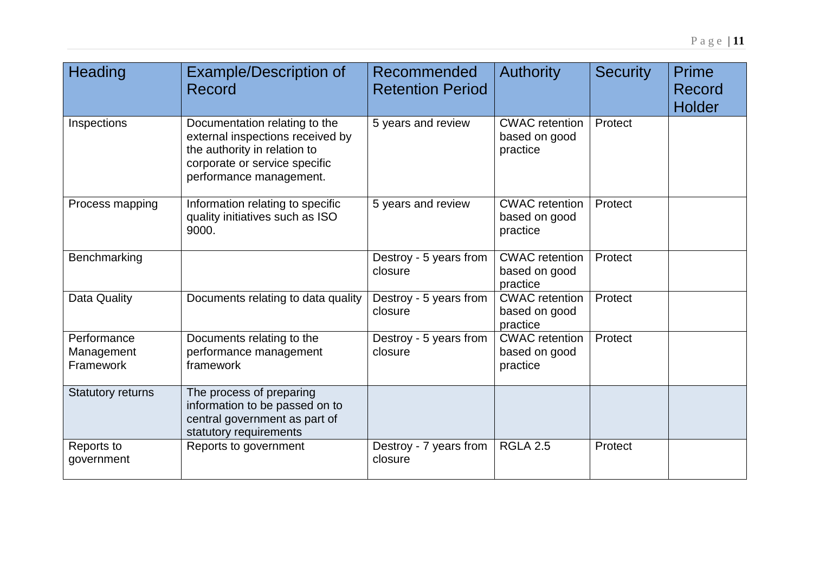| Heading                                | <b>Example/Description of</b><br>Record                                                                                                                       | Recommended<br><b>Retention Period</b> | <b>Authority</b>                                   | <b>Security</b> | Prime<br>Record<br><b>Holder</b> |
|----------------------------------------|---------------------------------------------------------------------------------------------------------------------------------------------------------------|----------------------------------------|----------------------------------------------------|-----------------|----------------------------------|
| Inspections                            | Documentation relating to the<br>external inspections received by<br>the authority in relation to<br>corporate or service specific<br>performance management. | 5 years and review                     | <b>CWAC</b> retention<br>based on good<br>practice | Protect         |                                  |
| Process mapping                        | Information relating to specific<br>quality initiatives such as ISO<br>9000.                                                                                  | 5 years and review                     | <b>CWAC</b> retention<br>based on good<br>practice | Protect         |                                  |
| Benchmarking                           |                                                                                                                                                               | Destroy - 5 years from<br>closure      | <b>CWAC</b> retention<br>based on good<br>practice | Protect         |                                  |
| Data Quality                           | Documents relating to data quality                                                                                                                            | Destroy - 5 years from<br>closure      | <b>CWAC</b> retention<br>based on good<br>practice | Protect         |                                  |
| Performance<br>Management<br>Framework | Documents relating to the<br>performance management<br>framework                                                                                              | Destroy - 5 years from<br>closure      | <b>CWAC</b> retention<br>based on good<br>practice | Protect         |                                  |
| <b>Statutory returns</b>               | The process of preparing<br>information to be passed on to<br>central government as part of<br>statutory requirements                                         |                                        |                                                    |                 |                                  |
| Reports to<br>government               | Reports to government                                                                                                                                         | Destroy - 7 years from<br>closure      | <b>RGLA 2.5</b>                                    | Protect         |                                  |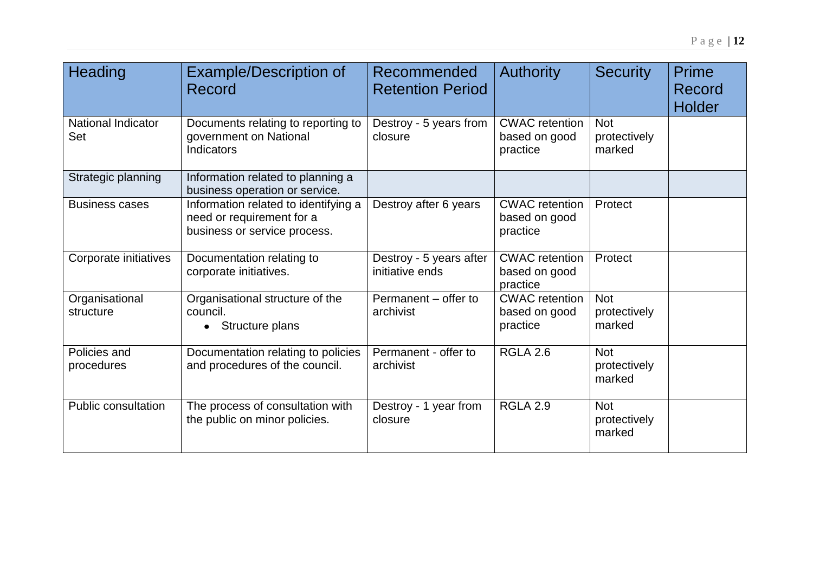| <b>Heading</b>                   | <b>Example/Description of</b><br>Record                                                           | Recommended<br><b>Retention Period</b>     | <b>Authority</b>                                   | <b>Security</b>                      | Prime<br><b>Record</b><br><b>Holder</b> |
|----------------------------------|---------------------------------------------------------------------------------------------------|--------------------------------------------|----------------------------------------------------|--------------------------------------|-----------------------------------------|
| <b>National Indicator</b><br>Set | Documents relating to reporting to<br>government on National<br>Indicators                        | Destroy - 5 years from<br>closure          | <b>CWAC</b> retention<br>based on good<br>practice | <b>Not</b><br>protectively<br>marked |                                         |
| Strategic planning               | Information related to planning a<br>business operation or service.                               |                                            |                                                    |                                      |                                         |
| <b>Business cases</b>            | Information related to identifying a<br>need or requirement for a<br>business or service process. | Destroy after 6 years                      | <b>CWAC</b> retention<br>based on good<br>practice | Protect                              |                                         |
| Corporate initiatives            | Documentation relating to<br>corporate initiatives.                                               | Destroy - 5 years after<br>initiative ends | <b>CWAC</b> retention<br>based on good<br>practice | Protect                              |                                         |
| Organisational<br>structure      | Organisational structure of the<br>council.<br>Structure plans<br>$\bullet$                       | Permanent – offer to<br>archivist          | <b>CWAC</b> retention<br>based on good<br>practice | <b>Not</b><br>protectively<br>marked |                                         |
| Policies and<br>procedures       | Documentation relating to policies<br>and procedures of the council.                              | Permanent - offer to<br>archivist          | <b>RGLA 2.6</b>                                    | <b>Not</b><br>protectively<br>marked |                                         |
| <b>Public consultation</b>       | The process of consultation with<br>the public on minor policies.                                 | Destroy - 1 year from<br>closure           | <b>RGLA 2.9</b>                                    | <b>Not</b><br>protectively<br>marked |                                         |